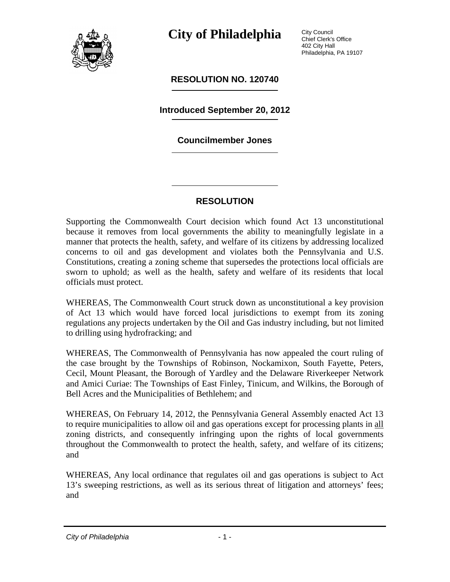

**City of Philadelphia**

**RESOLUTION NO. 120740**

**Introduced September 20, 2012**

## **Councilmember Jones**

## **RESOLUTION**

Supporting the Commonwealth Court decision which found Act 13 unconstitutional because it removes from local governments the ability to meaningfully legislate in a manner that protects the health, safety, and welfare of its citizens by addressing localized concerns to oil and gas development and violates both the Pennsylvania and U.S. Constitutions, creating a zoning scheme that supersedes the protections local officials are sworn to uphold; as well as the health, safety and welfare of its residents that local officials must protect.

WHEREAS, The Commonwealth Court struck down as unconstitutional a key provision of Act 13 which would have forced local jurisdictions to exempt from its zoning regulations any projects undertaken by the Oil and Gas industry including, but not limited to drilling using hydrofracking; and

WHEREAS, The Commonwealth of Pennsylvania has now appealed the court ruling of the case brought by the Townships of Robinson, Nockamixon, South Fayette, Peters, Cecil, Mount Pleasant, the Borough of Yardley and the Delaware Riverkeeper Network and Amici Curiae: The Townships of East Finley, Tinicum, and Wilkins, the Borough of Bell Acres and the Municipalities of Bethlehem; and

WHEREAS, On February 14, 2012, the Pennsylvania General Assembly enacted Act 13 to require municipalities to allow oil and gas operations except for processing plants in all zoning districts, and consequently infringing upon the rights of local governments throughout the Commonwealth to protect the health, safety, and welfare of its citizens; and

WHEREAS, Any local ordinance that regulates oil and gas operations is subject to Act 13's sweeping restrictions, as well as its serious threat of litigation and attorneys' fees; and